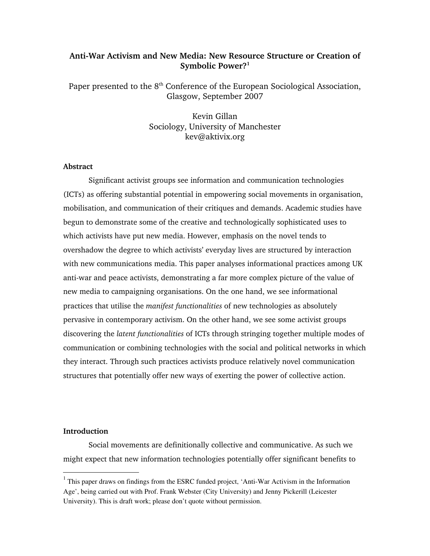# Anti-War Activism and New Media: New Resource Structure or Creation of **Symbolic Power?[1](#page-0-0)**

Paper presented to the  $8<sup>th</sup>$  Conference of the European Sociological Association, Glasgow, September 2007

> Kevin Gillan Sociology, University of Manchester kev@aktivix.org

### **Abstract**

Significant activist groups see information and communication technologies (ICTs) as offering substantial potential in empowering social movements in organisation, mobilisation, and communication of their critiques and demands. Academic studies have begun to demonstrate some of the creative and technologically sophisticated uses to which activists have put new media. However, emphasis on the novel tends to overshadow the degree to which activists' everyday lives are structured by interaction with new communications media. This paper analyses informational practices among UK anti-war and peace activists, demonstrating a far more complex picture of the value of new media to campaigning organisations. On the one hand, we see informational practices that utilise the *manifest functionalities* of new technologies as absolutely pervasive in contemporary activism. On the other hand, we see some activist groups discovering the *latent functionalities* of ICTs through stringing together multiple modes of communication or combining technologies with the social and political networks in which they interact. Through such practices activists produce relatively novel communication structures that potentially offer new ways of exerting the power of collective action.

## **Introduction**

Social movements are definitionally collective and communicative. As such we might expect that new information technologies potentially offer significant benefits to

<span id="page-0-0"></span> $1$  This paper draws on findings from the ESRC funded project, 'Anti-War Activism in the Information Age', being carried out with Prof. Frank Webster (City University) and Jenny Pickerill (Leicester University). This is draft work; please don't quote without permission.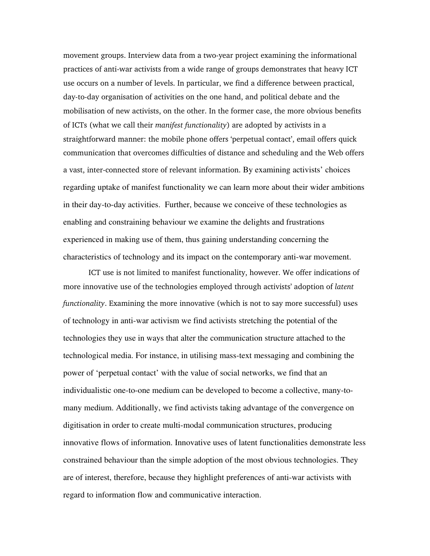movement groups. Interview data from a two-year project examining the informational practices of anti-war activists from a wide range of groups demonstrates that heavy ICT use occurs on a number of levels. In particular, we find a difference between practical, day-to-day organisation of activities on the one hand, and political debate and the mobilisation of new activists, on the other. In the former case, the more obvious benefits of ICTs (what we call their *manifest functionality*) are adopted by activists in a straightforward manner: the mobile phone offers 'perpetual contact', email offers quick communication that overcomes difficulties of distance and scheduling and the Web offers a vast, inter-connected store of relevant information. By examining activists' choices regarding uptake of manifest functionality we can learn more about their wider ambitions in their day-to-day activities. Further, because we conceive of these technologies as enabling and constraining behaviour we examine the delights and frustrations experienced in making use of them, thus gaining understanding concerning the characteristics of technology and its impact on the contemporary anti-war movement.

ICT use is not limited to manifest functionality, however. We offer indications of more innovative use of the technologies employed through activists' adoption of *latent functionality*. Examining the more innovative (which is not to say more successful) uses of technology in anti-war activism we find activists stretching the potential of the technologies they use in ways that alter the communication structure attached to the technological media. For instance, in utilising mass-text messaging and combining the power of 'perpetual contact' with the value of social networks, we find that an individualistic one-to-one medium can be developed to become a collective, many-tomany medium. Additionally, we find activists taking advantage of the convergence on digitisation in order to create multi-modal communication structures, producing innovative flows of information. Innovative uses of latent functionalities demonstrate less constrained behaviour than the simple adoption of the most obvious technologies. They are of interest, therefore, because they highlight preferences of anti-war activists with regard to information flow and communicative interaction.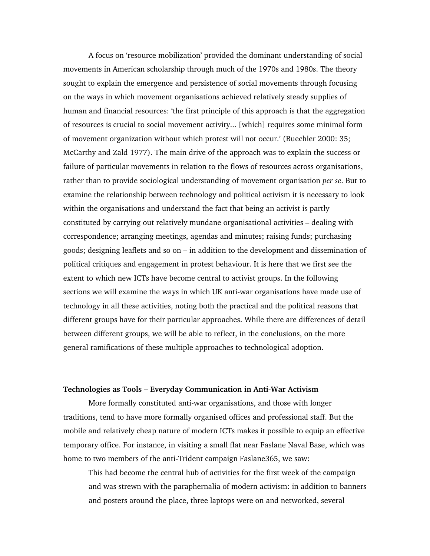A focus on 'resource mobilization' provided the dominant understanding of social movements in American scholarship through much of the 1970s and 1980s. The theory sought to explain the emergence and persistence of social movements through focusing on the ways in which movement organisations achieved relatively steady supplies of human and financial resources: 'the first principle of this approach is that the aggregation of resources is crucial to social movement activity... [which] requires some minimal form of movement organization without which protest will not occur.' (Buechler 2000: 35; McCarthy and Zald 1977). The main drive of the approach was to explain the success or failure of particular movements in relation to the flows of resources across organisations, rather than to provide sociological understanding of movement organisation *per se*. But to examine the relationship between technology and political activism it is necessary to look within the organisations and understand the fact that being an activist is partly constituted by carrying out relatively mundane organisational activities – dealing with correspondence; arranging meetings, agendas and minutes; raising funds; purchasing goods; designing leaflets and so on – in addition to the development and dissemination of political critiques and engagement in protest behaviour. It is here that we first see the extent to which new ICTs have become central to activist groups. In the following sections we will examine the ways in which UK anti-war organisations have made use of technology in all these activities, noting both the practical and the political reasons that different groups have for their particular approaches. While there are differences of detail between different groups, we will be able to reflect, in the conclusions, on the more general ramifications of these multiple approaches to technological adoption.

#### Technologies as Tools – Everyday Communication in Anti-War Activism

More formally constituted anti-war organisations, and those with longer traditions, tend to have more formally organised offices and professional staff. But the mobile and relatively cheap nature of modern ICTs makes it possible to equip an effective temporary office. For instance, in visiting a small flat near Faslane Naval Base, which was home to two members of the anti-Trident campaign Faslane365, we saw:

This had become the central hub of activities for the first week of the campaign and was strewn with the paraphernalia of modern activism: in addition to banners and posters around the place, three laptops were on and networked, several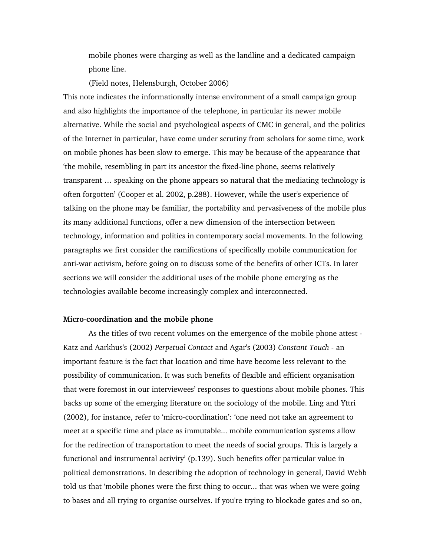mobile phones were charging as well as the landline and a dedicated campaign phone line.

(Field notes, Helensburgh, October 2006)

This note indicates the informationally intense environment of a small campaign group and also highlights the importance of the telephone, in particular its newer mobile alternative. While the social and psychological aspects of CMC in general, and the politics of the Internet in particular, have come under scrutiny from scholars for some time, work on mobile phones has been slow to emerge. This may be because of the appearance that the mobile, resembling in part its ancestor the fixed-line phone, seems relatively transparent … speaking on the phone appears so natural that the mediating technology is often forgotten' (Cooper et al. 2002, p.288). However, while the user's experience of talking on the phone may be familiar, the portability and pervasiveness of the mobile plus its many additional functions, offer a new dimension of the intersection between technology, information and politics in contemporary social movements. In the following paragraphs we first consider the ramifications of specifically mobile communication for anti-war activism, before going on to discuss some of the benefits of other ICTs. In later sections we will consider the additional uses of the mobile phone emerging as the technologies available become increasingly complex and interconnected.

#### **Micro-coordination and the mobile phone**

As the titles of two recent volumes on the emergence of the mobile phone attest Katz and Aarkhus's (2002) *Perpetual Contact* and Agar's (2003) *Constant Touch* an important feature is the fact that location and time have become less relevant to the possibility of communication. It was such benefits of flexible and efficient organisation that were foremost in our interviewees' responses to questions about mobile phones. This backs up some of the emerging literature on the sociology of the mobile. Ling and Yttri (2002), for instance, refer to 'micro-coordination': 'one need not take an agreement to meet at a specific time and place as immutable... mobile communication systems allow for the redirection of transportation to meet the needs of social groups. This is largely a functional and instrumental activity' (p.139). Such benefits offer particular value in political demonstrations. In describing the adoption of technology in general, David Webb told us that 'mobile phones were the first thing to occur... that was when we were going to bases and all trying to organise ourselves. If you're trying to blockade gates and so on,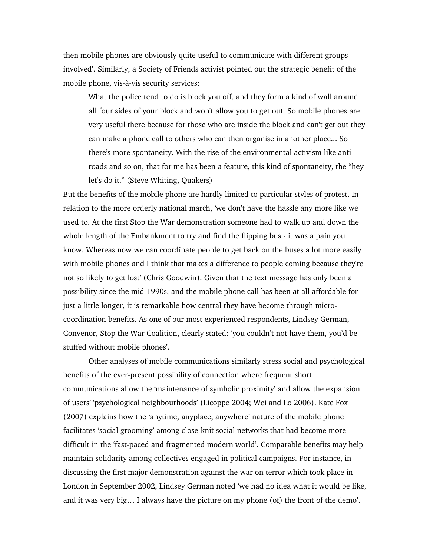then mobile phones are obviously quite useful to communicate with different groups involved'. Similarly, a Society of Friends activist pointed out the strategic benefit of the mobile phone, vis-à-vis security services:

What the police tend to do is block you off, and they form a kind of wall around all four sides of your block and won't allow you to get out. So mobile phones are very useful there because for those who are inside the block and can't get out they can make a phone call to others who can then organise in another place... So there's more spontaneity. With the rise of the environmental activism like antiroads and so on, that for me has been a feature, this kind of spontaneity, the "hey let's do it." (Steve Whiting, Quakers)

But the benefits of the mobile phone are hardly limited to particular styles of protest. In relation to the more orderly national march, 'we don't have the hassle any more like we used to. At the first Stop the War demonstration someone had to walk up and down the whole length of the Embankment to try and find the flipping bus - it was a pain you know. Whereas now we can coordinate people to get back on the buses a lot more easily with mobile phones and I think that makes a difference to people coming because they're not so likely to get lost' (Chris Goodwin). Given that the text message has only been a possibility since the mid-1990s, and the mobile phone call has been at all affordable for just a little longer, it is remarkable how central they have become through microcoordination benefits. As one of our most experienced respondents, Lindsey German, Convenor, Stop the War Coalition, clearly stated: 'you couldn't not have them, you'd be stuffed without mobile phones'.

Other analyses of mobile communications similarly stress social and psychological benefits of the ever-present possibility of connection where frequent short communications allow the 'maintenance of symbolic proximity' and allow the expansion of users' 'psychological neighbourhoods' (Licoppe 2004; Wei and Lo 2006). Kate Fox (2007) explains how the 'anytime, anyplace, anywhere' nature of the mobile phone facilitates 'social grooming' among close-knit social networks that had become more difficult in the 'fast-paced and fragmented modern world'. Comparable benefits may help maintain solidarity among collectives engaged in political campaigns. For instance, in discussing the first major demonstration against the war on terror which took place in London in September 2002, Lindsey German noted 'we had no idea what it would be like, and it was very big… I always have the picture on my phone (of) the front of the demo'.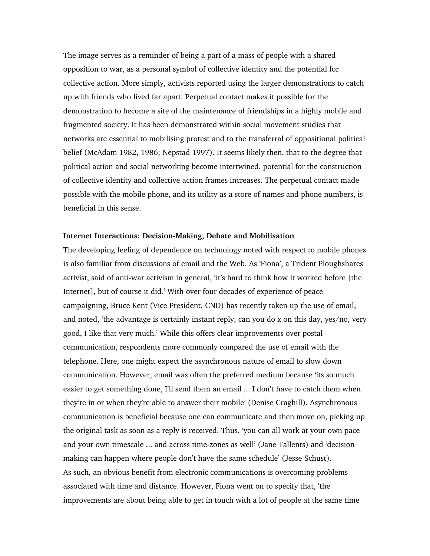The image serves as a reminder of being a part of a mass of people with a shared opposition to war, as a personal symbol of collective identity and the potential for collective action. More simply, activists reported using the larger demonstrations to catch up with friends who lived far apart. Perpetual contact makes it possible for the demonstration to become a site of the maintenance of friendships in a highly mobile and fragmented society. It has been demonstrated within social movement studies that networks are essential to mobilising protest and to the transferral of oppositional political belief (McAdam 1982, 1986; Nepstad 1997). It seems likely then, that to the degree that political action and social networking become intertwined, potential for the construction of collective identity and collective action frames increases. The perpetual contact made possible with the mobile phone, and its utility as a store of names and phone numbers, is beneficial in this sense.

#### **Internet Interactions: Decision-Making, Debate and Mobilisation**

The developing feeling of dependence on technology noted with respect to mobile phones is also familiar from discussions of email and the Web. As 'Fiona', a Trident Ploughshares activist, said of anti-war activism in general, 'it's hard to think how it worked before [the Internet], but of course it did.' With over four decades of experience of peace campaigning, Bruce Kent (Vice President, CND) has recently taken up the use of email, and noted, 'the advantage is certainly instant reply, can you do x on this day, yes/no, very good, I like that very much.' While this offers clear improvements over postal communication, respondents more commonly compared the use of email with the telephone. Here, one might expect the asynchronous nature of email to slow down communication. However, email was often the preferred medium because 'its so much easier to get something done, I'll send them an email ... I don't have to catch them when they're in or when they're able to answer their mobile' (Denise Craghill). Asynchronous communication is beneficial because one can communicate and then move on, picking up the original task as soon as a reply is received. Thus, 'you can all work at your own pace and your own timescale ... and across timezones as well' (Jane Tallents) and 'decision making can happen where people don't have the same schedule' (Jesse Schust). As such, an obvious benefit from electronic communications is overcoming problems associated with time and distance. However, Fiona went on to specify that, 'the improvements are about being able to get in touch with a lot of people at the same time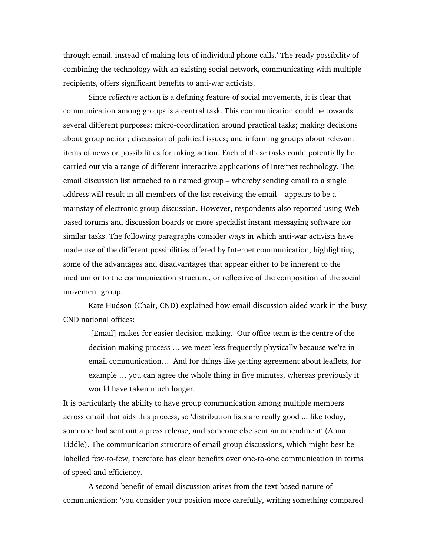through email, instead of making lots of individual phone calls.' The ready possibility of combining the technology with an existing social network, communicating with multiple recipients, offers significant benefits to anti-war activists.

Since *collective* action is a defining feature of social movements, it is clear that communication among groups is a central task. This communication could be towards several different purposes: micro-coordination around practical tasks; making decisions about group action; discussion of political issues; and informing groups about relevant items of news or possibilities for taking action. Each of these tasks could potentially be carried out via a range of different interactive applications of Internet technology. The email discussion list attached to a named group – whereby sending email to a single address will result in all members of the list receiving the email – appears to be a mainstay of electronic group discussion. However, respondents also reported using Webbased forums and discussion boards or more specialist instant messaging software for similar tasks. The following paragraphs consider ways in which anti-war activists have made use of the different possibilities offered by Internet communication, highlighting some of the advantages and disadvantages that appear either to be inherent to the medium or to the communication structure, or reflective of the composition of the social movement group.

Kate Hudson (Chair, CND) explained how email discussion aided work in the busy CND national offices:

[Email] makes for easier decision-making. Our office team is the centre of the decision making process … we meet less frequently physically because we're in email communication… And for things like getting agreement about leaflets, for example … you can agree the whole thing in five minutes, whereas previously it would have taken much longer.

It is particularly the ability to have group communication among multiple members across email that aids this process, so 'distribution lists are really good ... like today, someone had sent out a press release, and someone else sent an amendment' (Anna Liddle). The communication structure of email group discussions, which might best be labelled few-to-few, therefore has clear benefits over one-to-one communication in terms of speed and efficiency.

A second benefit of email discussion arises from the text-based nature of communication: 'you consider your position more carefully, writing something compared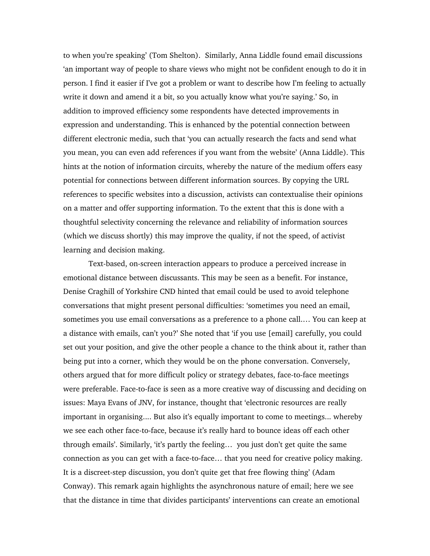to when you're speaking' (Tom Shelton). Similarly, Anna Liddle found email discussions 'an important way of people to share views who might not be confident enough to do it in person. I find it easier if I've got a problem or want to describe how I'm feeling to actually write it down and amend it a bit, so you actually know what you're saying.' So, in addition to improved efficiency some respondents have detected improvements in expression and understanding. This is enhanced by the potential connection between different electronic media, such that 'you can actually research the facts and send what you mean, you can even add references if you want from the website' (Anna Liddle). This hints at the notion of information circuits, whereby the nature of the medium offers easy potential for connections between different information sources. By copying the URL references to specific websites into a discussion, activists can contextualise their opinions on a matter and offer supporting information. To the extent that this is done with a thoughtful selectivity concerning the relevance and reliability of information sources (which we discuss shortly) this may improve the quality, if not the speed, of activist learning and decision making.

Text-based, on-screen interaction appears to produce a perceived increase in emotional distance between discussants. This may be seen as a benefit. For instance, Denise Craghill of Yorkshire CND hinted that email could be used to avoid telephone conversations that might present personal difficulties: 'sometimes you need an email, sometimes you use email conversations as a preference to a phone call.… You can keep at a distance with emails, can't you?' She noted that 'if you use [email] carefully, you could set out your position, and give the other people a chance to the think about it, rather than being put into a corner, which they would be on the phone conversation. Conversely, others argued that for more difficult policy or strategy debates, face-to-face meetings were preferable. Face-to-face is seen as a more creative way of discussing and deciding on issues: Maya Evans of JNV, for instance, thought that 'electronic resources are really important in organising.... But also it's equally important to come to meetings... whereby we see each other face-to-face, because it's really hard to bounce ideas off each other through emails'. Similarly, 'it's partly the feeling… you just don't get quite the same connection as you can get with a face-to-face... that you need for creative policy making. It is a discreet-step discussion, you don't quite get that free flowing thing' (Adam Conway). This remark again highlights the asynchronous nature of email; here we see that the distance in time that divides participants' interventions can create an emotional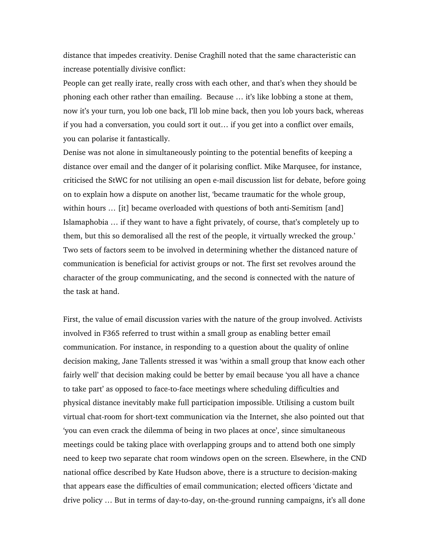distance that impedes creativity. Denise Craghill noted that the same characteristic can increase potentially divisive conflict:

People can get really irate, really cross with each other, and that's when they should be phoning each other rather than emailing. Because … it's like lobbing a stone at them, now it's your turn, you lob one back, I'll lob mine back, then you lob yours back, whereas if you had a conversation, you could sort it out… if you get into a conflict over emails, you can polarise it fantastically.

Denise was not alone in simultaneously pointing to the potential benefits of keeping a distance over email and the danger of it polarising conflict. Mike Marqusee, for instance, criticised the StWC for not utilising an open email discussion list for debate, before going on to explain how a dispute on another list, 'became traumatic for the whole group, within hours ... [it] became overloaded with questions of both anti-Semitism [and] Islamaphobia … if they want to have a fight privately, of course, that's completely up to them, but this so demoralised all the rest of the people, it virtually wrecked the group.' Two sets of factors seem to be involved in determining whether the distanced nature of communication is beneficial for activist groups or not. The first set revolves around the character of the group communicating, and the second is connected with the nature of the task at hand.

First, the value of email discussion varies with the nature of the group involved. Activists involved in F365 referred to trust within a small group as enabling better email communication. For instance, in responding to a question about the quality of online decision making, Jane Tallents stressed it was 'within a small group that know each other fairly well' that decision making could be better by email because 'you all have a chance to take part' as opposed to face-to-face meetings where scheduling difficulties and physical distance inevitably make full participation impossible. Utilising a custom built virtual chat-room for short-text communication via the Internet, she also pointed out that 'you can even crack the dilemma of being in two places at once', since simultaneous meetings could be taking place with overlapping groups and to attend both one simply need to keep two separate chat room windows open on the screen. Elsewhere, in the CND national office described by Kate Hudson above, there is a structure to decision-making that appears ease the difficulties of email communication; elected officers 'dictate and drive policy  $\ldots$  But in terms of day-to-day, on-the-ground running campaigns, it's all done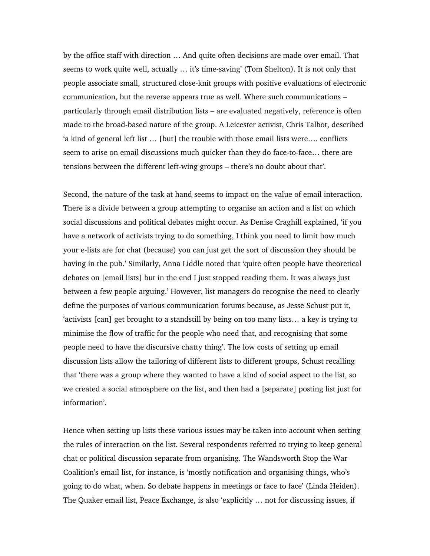by the office staff with direction … And quite often decisions are made over email. That seems to work quite well, actually ... it's time-saving' (Tom Shelton). It is not only that people associate small, structured close-knit groups with positive evaluations of electronic communication, but the reverse appears true as well. Where such communications – particularly through email distribution lists – are evaluated negatively, reference is often made to the broad-based nature of the group. A Leicester activist, Chris Talbot, described 'a kind of general left list … [but] the trouble with those email lists were…. conflicts seem to arise on email discussions much quicker than they do face-to-face... there are tensions between the different left-wing groups – there's no doubt about that'.

Second, the nature of the task at hand seems to impact on the value of email interaction. There is a divide between a group attempting to organise an action and a list on which social discussions and political debates might occur. As Denise Craghill explained, 'if you have a network of activists trying to do something, I think you need to limit how much your e-lists are for chat (because) you can just get the sort of discussion they should be having in the pub.' Similarly, Anna Liddle noted that 'quite often people have theoretical debates on [email lists] but in the end I just stopped reading them. It was always just between a few people arguing.' However, list managers do recognise the need to clearly define the purposes of various communication forums because, as Jesse Schust put it, 'activists [can] get brought to a standstill by being on too many lists… a key is trying to minimise the flow of traffic for the people who need that, and recognising that some people need to have the discursive chatty thing'. The low costs of setting up email discussion lists allow the tailoring of different lists to different groups, Schust recalling that 'there was a group where they wanted to have a kind of social aspect to the list, so we created a social atmosphere on the list, and then had a [separate] posting list just for information'.

Hence when setting up lists these various issues may be taken into account when setting the rules of interaction on the list. Several respondents referred to trying to keep general chat or political discussion separate from organising. The Wandsworth Stop the War Coalition's email list, for instance, is 'mostly notification and organising things, who's going to do what, when. So debate happens in meetings or face to face' (Linda Heiden). The Quaker email list, Peace Exchange, is also 'explicitly … not for discussing issues, if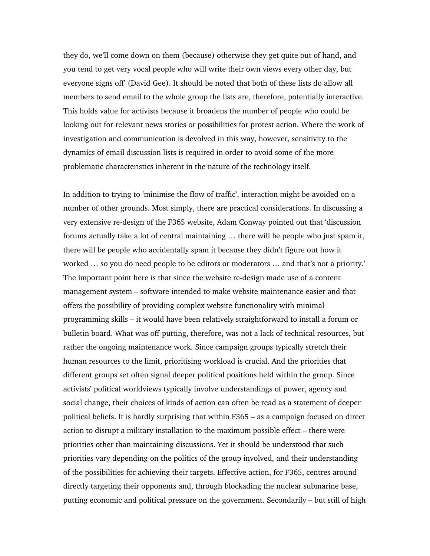they do, we'll come down on them (because) otherwise they get quite out of hand, and you tend to get very vocal people who will write their own views every other day, but everyone signs off' (David Gee). It should be noted that both of these lists do allow all members to send email to the whole group the lists are, therefore, potentially interactive. This holds value for activists because it broadens the number of people who could be looking out for relevant news stories or possibilities for protest action. Where the work of investigation and communication is devolved in this way, however, sensitivity to the dynamics of email discussion lists is required in order to avoid some of the more problematic characteristics inherent in the nature of the technology itself.

In addition to trying to 'minimise the flow of traffic', interaction might be avoided on a number of other grounds. Most simply, there are practical considerations. In discussing a very extensive re-design of the F365 website, Adam Conway pointed out that 'discussion forums actually take a lot of central maintaining … there will be people who just spam it, there will be people who accidentally spam it because they didn't figure out how it worked … so you do need people to be editors or moderators … and that's not a priority.' The important point here is that since the website redesign made use of a content management system – software intended to make website maintenance easier and that offers the possibility of providing complex website functionality with minimal programming skills – it would have been relatively straightforward to install a forum or bulletin board. What was off-putting, therefore, was not a lack of technical resources, but rather the ongoing maintenance work. Since campaign groups typically stretch their human resources to the limit, prioritising workload is crucial. And the priorities that different groups set often signal deeper political positions held within the group. Since activists' political worldviews typically involve understandings of power, agency and social change, their choices of kinds of action can often be read as a statement of deeper political beliefs. It is hardly surprising that within F365 – as a campaign focused on direct action to disrupt a military installation to the maximum possible effect – there were priorities other than maintaining discussions. Yet it should be understood that such priorities vary depending on the politics of the group involved, and their understanding of the possibilities for achieving their targets. Effective action, for F365, centres around directly targeting their opponents and, through blockading the nuclear submarine base, putting economic and political pressure on the government. Secondarily – but still of high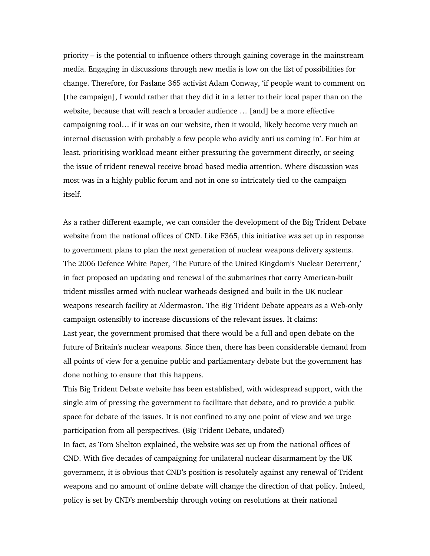priority – is the potential to influence others through gaining coverage in the mainstream media. Engaging in discussions through new media is low on the list of possibilities for change. Therefore, for Faslane 365 activist Adam Conway, 'if people want to comment on [the campaign], I would rather that they did it in a letter to their local paper than on the website, because that will reach a broader audience … [and] be a more effective campaigning tool… if it was on our website, then it would, likely become very much an internal discussion with probably a few people who avidly anti us coming in'. For him at least, prioritising workload meant either pressuring the government directly, or seeing the issue of trident renewal receive broad based media attention. Where discussion was most was in a highly public forum and not in one so intricately tied to the campaign itself.

As a rather different example, we can consider the development of the Big Trident Debate website from the national offices of CND. Like F365, this initiative was set up in response to government plans to plan the next generation of nuclear weapons delivery systems. The 2006 Defence White Paper, 'The Future of the United Kingdom's Nuclear Deterrent,' in fact proposed an updating and renewal of the submarines that carry American-built trident missiles armed with nuclear warheads designed and built in the UK nuclear weapons research facility at Aldermaston. The Big Trident Debate appears as a Web-only campaign ostensibly to increase discussions of the relevant issues. It claims: Last year, the government promised that there would be a full and open debate on the future of Britain's nuclear weapons. Since then, there has been considerable demand from all points of view for a genuine public and parliamentary debate but the government has done nothing to ensure that this happens.

This Big Trident Debate website has been established, with widespread support, with the single aim of pressing the government to facilitate that debate, and to provide a public space for debate of the issues. It is not confined to any one point of view and we urge participation from all perspectives. (Big Trident Debate, undated)

In fact, as Tom Shelton explained, the website was set up from the national offices of CND. With five decades of campaigning for unilateral nuclear disarmament by the UK government, it is obvious that CND's position is resolutely against any renewal of Trident weapons and no amount of online debate will change the direction of that policy. Indeed, policy is set by CND's membership through voting on resolutions at their national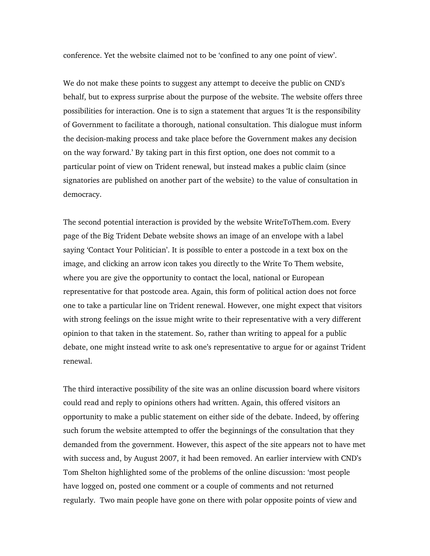conference. Yet the website claimed not to be 'confined to any one point of view'.

We do not make these points to suggest any attempt to deceive the public on CND's behalf, but to express surprise about the purpose of the website. The website offers three possibilities for interaction. One is to sign a statement that argues 'It is the responsibility of Government to facilitate a thorough, national consultation. This dialogue must inform the decision-making process and take place before the Government makes any decision on the way forward.' By taking part in this first option, one does not commit to a particular point of view on Trident renewal, but instead makes a public claim (since signatories are published on another part of the website) to the value of consultation in democracy.

The second potential interaction is provided by the website WriteToThem.com. Every page of the Big Trident Debate website shows an image of an envelope with a label saying 'Contact Your Politician'. It is possible to enter a postcode in a text box on the image, and clicking an arrow icon takes you directly to the Write To Them website, where you are give the opportunity to contact the local, national or European representative for that postcode area. Again, this form of political action does not force one to take a particular line on Trident renewal. However, one might expect that visitors with strong feelings on the issue might write to their representative with a very different opinion to that taken in the statement. So, rather than writing to appeal for a public debate, one might instead write to ask one's representative to argue for or against Trident renewal.

The third interactive possibility of the site was an online discussion board where visitors could read and reply to opinions others had written. Again, this offered visitors an opportunity to make a public statement on either side of the debate. Indeed, by offering such forum the website attempted to offer the beginnings of the consultation that they demanded from the government. However, this aspect of the site appears not to have met with success and, by August 2007, it had been removed. An earlier interview with CND's Tom Shelton highlighted some of the problems of the online discussion: 'most people have logged on, posted one comment or a couple of comments and not returned regularly. Two main people have gone on there with polar opposite points of view and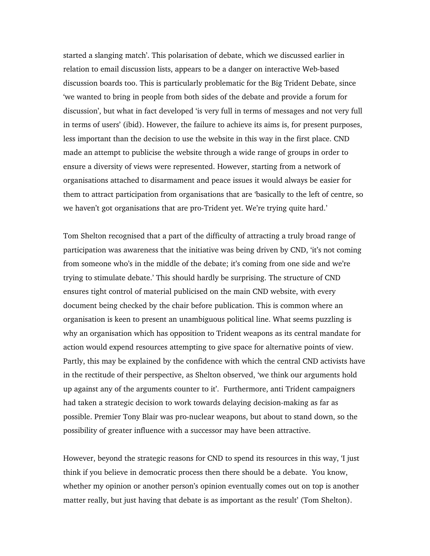started a slanging match'. This polarisation of debate, which we discussed earlier in relation to email discussion lists, appears to be a danger on interactive Web-based discussion boards too. This is particularly problematic for the Big Trident Debate, since 'we wanted to bring in people from both sides of the debate and provide a forum for discussion', but what in fact developed 'is very full in terms of messages and not very full in terms of users' (ibid). However, the failure to achieve its aims is, for present purposes, less important than the decision to use the website in this way in the first place. CND made an attempt to publicise the website through a wide range of groups in order to ensure a diversity of views were represented. However, starting from a network of organisations attached to disarmament and peace issues it would always be easier for them to attract participation from organisations that are 'basically to the left of centre, so we haven't got organisations that are pro-Trident yet. We're trying quite hard.'

Tom Shelton recognised that a part of the difficulty of attracting a truly broad range of participation was awareness that the initiative was being driven by CND, 'it's not coming from someone who's in the middle of the debate; it's coming from one side and we're trying to stimulate debate.' This should hardly be surprising. The structure of CND ensures tight control of material publicised on the main CND website, with every document being checked by the chair before publication. This is common where an organisation is keen to present an unambiguous political line. What seems puzzling is why an organisation which has opposition to Trident weapons as its central mandate for action would expend resources attempting to give space for alternative points of view. Partly, this may be explained by the confidence with which the central CND activists have in the rectitude of their perspective, as Shelton observed, 'we think our arguments hold up against any of the arguments counter to it'. Furthermore, anti Trident campaigners had taken a strategic decision to work towards delaying decision-making as far as possible. Premier Tony Blair was pro-nuclear weapons, but about to stand down, so the possibility of greater influence with a successor may have been attractive.

However, beyond the strategic reasons for CND to spend its resources in this way, 'I just think if you believe in democratic process then there should be a debate. You know, whether my opinion or another person's opinion eventually comes out on top is another matter really, but just having that debate is as important as the result' (Tom Shelton).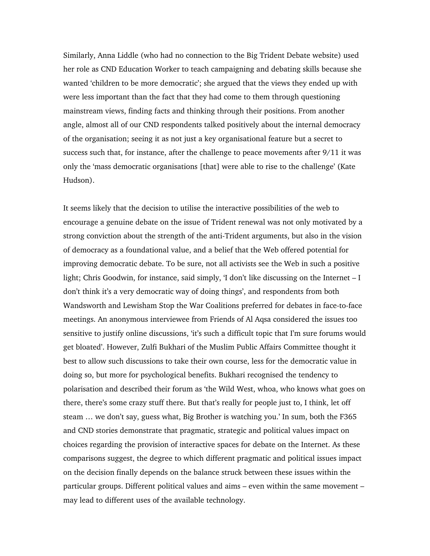Similarly, Anna Liddle (who had no connection to the Big Trident Debate website) used her role as CND Education Worker to teach campaigning and debating skills because she wanted 'children to be more democratic'; she argued that the views they ended up with were less important than the fact that they had come to them through questioning mainstream views, finding facts and thinking through their positions. From another angle, almost all of our CND respondents talked positively about the internal democracy of the organisation; seeing it as not just a key organisational feature but a secret to success such that, for instance, after the challenge to peace movements after 9/11 it was only the 'mass democratic organisations [that] were able to rise to the challenge' (Kate Hudson).

It seems likely that the decision to utilise the interactive possibilities of the web to encourage a genuine debate on the issue of Trident renewal was not only motivated by a strong conviction about the strength of the anti-Trident arguments, but also in the vision of democracy as a foundational value, and a belief that the Web offered potential for improving democratic debate. To be sure, not all activists see the Web in such a positive light; Chris Goodwin, for instance, said simply, 'I don't like discussing on the Internet – I don't think it's a very democratic way of doing things', and respondents from both Wandsworth and Lewisham Stop the War Coalitions preferred for debates in face-to-face meetings. An anonymous interviewee from Friends of Al Aqsa considered the issues too sensitive to justify online discussions, 'it's such a difficult topic that I'm sure forums would get bloated'. However, Zulfi Bukhari of the Muslim Public Affairs Committee thought it best to allow such discussions to take their own course, less for the democratic value in doing so, but more for psychological benefits. Bukhari recognised the tendency to polarisation and described their forum as 'the Wild West, whoa, who knows what goes on there, there's some crazy stuff there. But that's really for people just to, I think, let off steam … we don't say, guess what, Big Brother is watching you.' In sum, both the F365 and CND stories demonstrate that pragmatic, strategic and political values impact on choices regarding the provision of interactive spaces for debate on the Internet. As these comparisons suggest, the degree to which different pragmatic and political issues impact on the decision finally depends on the balance struck between these issues within the particular groups. Different political values and aims – even within the same movement – may lead to different uses of the available technology.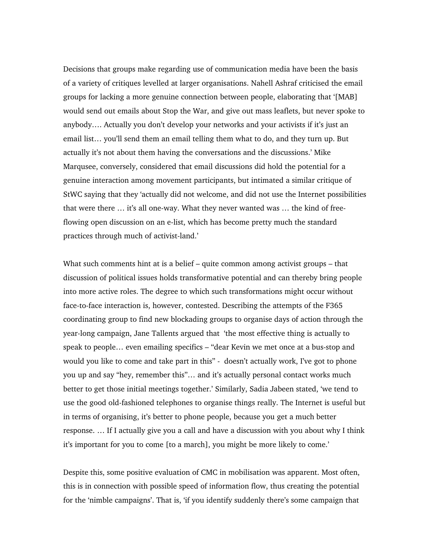Decisions that groups make regarding use of communication media have been the basis of a variety of critiques levelled at larger organisations. Nahell Ashraf criticised the email groups for lacking a more genuine connection between people, elaborating that '[MAB] would send out emails about Stop the War, and give out mass leaflets, but never spoke to anybody…. Actually you don't develop your networks and your activists if it's just an email list… you'll send them an email telling them what to do, and they turn up. But actually it's not about them having the conversations and the discussions.' Mike Marqusee, conversely, considered that email discussions did hold the potential for a genuine interaction among movement participants, but intimated a similar critique of StWC saying that they 'actually did not welcome, and did not use the Internet possibilities that were there ... it's all one-way. What they never wanted was ... the kind of freeflowing open discussion on an e-list, which has become pretty much the standard practices through much of activist-land.'

What such comments hint at is a belief – quite common among activist groups – that discussion of political issues holds transformative potential and can thereby bring people into more active roles. The degree to which such transformations might occur without face-to-face interaction is, however, contested. Describing the attempts of the F365 coordinating group to find new blockading groups to organise days of action through the year-long campaign, Jane Tallents argued that 'the most effective thing is actually to speak to people... even emailing specifics – "dear Kevin we met once at a bus-stop and would you like to come and take part in this" - doesn't actually work, I've got to phone you up and say "hey, remember this"… and it's actually personal contact works much better to get those initial meetings together.' Similarly, Sadia Jabeen stated, 'we tend to use the good old-fashioned telephones to organise things really. The Internet is useful but in terms of organising, it's better to phone people, because you get a much better response. … If I actually give you a call and have a discussion with you about why I think it's important for you to come [to a march], you might be more likely to come.'

Despite this, some positive evaluation of CMC in mobilisation was apparent. Most often, this is in connection with possible speed of information flow, thus creating the potential for the 'nimble campaigns'. That is, 'if you identify suddenly there's some campaign that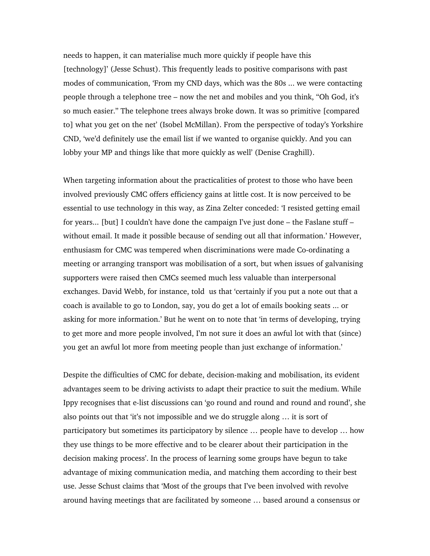needs to happen, it can materialise much more quickly if people have this [technology]' (Jesse Schust). This frequently leads to positive comparisons with past modes of communication, 'From my CND days, which was the 80s ... we were contacting people through a telephone tree – now the net and mobiles and you think, "Oh God, it's so much easier." The telephone trees always broke down. It was so primitive [compared to] what you get on the net' (Isobel McMillan). From the perspective of today's Yorkshire CND, 'we'd definitely use the email list if we wanted to organise quickly. And you can lobby your MP and things like that more quickly as well' (Denise Craghill).

When targeting information about the practicalities of protest to those who have been involved previously CMC offers efficiency gains at little cost. It is now perceived to be essential to use technology in this way, as Zina Zelter conceded: 'I resisted getting email for years... [but] I couldn't have done the campaign I've just done – the Faslane stuff – without email. It made it possible because of sending out all that information.' However, enthusiasm for CMC was tempered when discriminations were made Co-ordinating a meeting or arranging transport was mobilisation of a sort, but when issues of galvanising supporters were raised then CMCs seemed much less valuable than interpersonal exchanges. David Webb, for instance, told us that 'certainly if you put a note out that a coach is available to go to London, say, you do get a lot of emails booking seats ... or asking for more information.' But he went on to note that 'in terms of developing, trying to get more and more people involved, I'm not sure it does an awful lot with that (since) you get an awful lot more from meeting people than just exchange of information.'

Despite the difficulties of CMC for debate, decision-making and mobilisation, its evident advantages seem to be driving activists to adapt their practice to suit the medium. While Ippy recognises that e-list discussions can 'go round and round and round and round', she also points out that 'it's not impossible and we do struggle along … it is sort of participatory but sometimes its participatory by silence … people have to develop … how they use things to be more effective and to be clearer about their participation in the decision making process'. In the process of learning some groups have begun to take advantage of mixing communication media, and matching them according to their best use. Jesse Schust claims that 'Most of the groups that I've been involved with revolve around having meetings that are facilitated by someone … based around a consensus or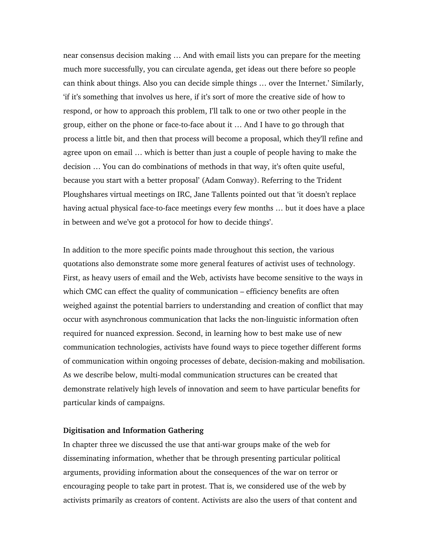near consensus decision making … And with email lists you can prepare for the meeting much more successfully, you can circulate agenda, get ideas out there before so people can think about things. Also you can decide simple things … over the Internet.' Similarly, 'if it's something that involves us here, if it's sort of more the creative side of how to respond, or how to approach this problem, I'll talk to one or two other people in the group, either on the phone or face-to-face about it ... And I have to go through that process a little bit, and then that process will become a proposal, which they'll refine and agree upon on email … which is better than just a couple of people having to make the decision … You can do combinations of methods in that way, it's often quite useful, because you start with a better proposal' (Adam Conway). Referring to the Trident Ploughshares virtual meetings on IRC, Jane Tallents pointed out that 'it doesn't replace having actual physical face-to-face meetings every few months ... but it does have a place in between and we've got a protocol for how to decide things'.

In addition to the more specific points made throughout this section, the various quotations also demonstrate some more general features of activist uses of technology. First, as heavy users of email and the Web, activists have become sensitive to the ways in which CMC can effect the quality of communication – efficiency benefits are often weighed against the potential barriers to understanding and creation of conflict that may occur with asynchronous communication that lacks the non-linguistic information often required for nuanced expression. Second, in learning how to best make use of new communication technologies, activists have found ways to piece together different forms of communication within ongoing processes of debate, decision-making and mobilisation. As we describe below, multi-modal communication structures can be created that demonstrate relatively high levels of innovation and seem to have particular benefits for particular kinds of campaigns.

### **Digitisation and Information Gathering**

In chapter three we discussed the use that anti-war groups make of the web for disseminating information, whether that be through presenting particular political arguments, providing information about the consequences of the war on terror or encouraging people to take part in protest. That is, we considered use of the web by activists primarily as creators of content. Activists are also the users of that content and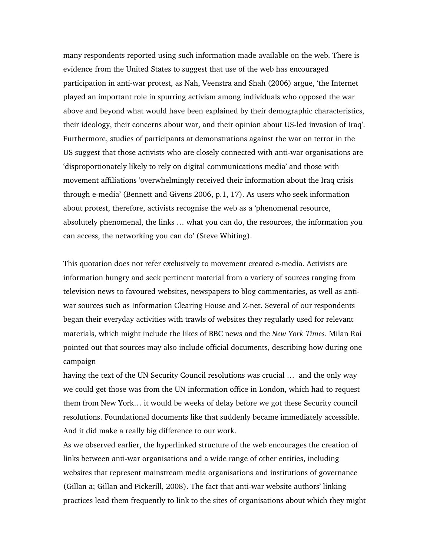many respondents reported using such information made available on the web. There is evidence from the United States to suggest that use of the web has encouraged participation in antiwar protest, as Nah, Veenstra and Shah (2006) argue, 'the Internet played an important role in spurring activism among individuals who opposed the war above and beyond what would have been explained by their demographic characteristics, their ideology, their concerns about war, and their opinion about US-led invasion of Iraq'. Furthermore, studies of participants at demonstrations against the war on terror in the US suggest that those activists who are closely connected with anti-war organisations are 'disproportionately likely to rely on digital communications media' and those with movement affiliations 'overwhelmingly received their information about the Iraq crisis through emedia' (Bennett and Givens 2006, p.1, 17). As users who seek information about protest, therefore, activists recognise the web as a 'phenomenal resource, absolutely phenomenal, the links … what you can do, the resources, the information you can access, the networking you can do' (Steve Whiting).

This quotation does not refer exclusively to movement created e-media. Activists are information hungry and seek pertinent material from a variety of sources ranging from television news to favoured websites, newspapers to blog commentaries, as well as antiwar sources such as Information Clearing House and Z-net. Several of our respondents began their everyday activities with trawls of websites they regularly used for relevant materials, which might include the likes of BBC news and the *New York Times*. Milan Rai pointed out that sources may also include official documents, describing how during one campaign

having the text of the UN Security Council resolutions was crucial … and the only way we could get those was from the UN information office in London, which had to request them from New York… it would be weeks of delay before we got these Security council resolutions. Foundational documents like that suddenly became immediately accessible. And it did make a really big difference to our work.

As we observed earlier, the hyperlinked structure of the web encourages the creation of links between anti-war organisations and a wide range of other entities, including websites that represent mainstream media organisations and institutions of governance (Gillan a; Gillan and Pickerill, 2008). The fact that anti-war website authors' linking practices lead them frequently to link to the sites of organisations about which they might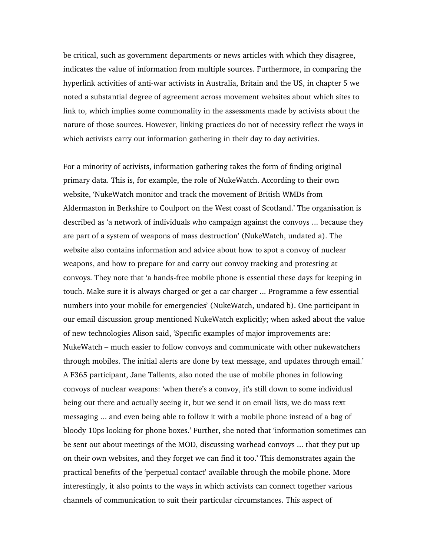be critical, such as government departments or news articles with which they disagree, indicates the value of information from multiple sources. Furthermore, in comparing the hyperlink activities of anti-war activists in Australia, Britain and the US, in chapter 5 we noted a substantial degree of agreement across movement websites about which sites to link to, which implies some commonality in the assessments made by activists about the nature of those sources. However, linking practices do not of necessity reflect the ways in which activists carry out information gathering in their day to day activities.

For a minority of activists, information gathering takes the form of finding original primary data. This is, for example, the role of NukeWatch. According to their own website, 'NukeWatch monitor and track the movement of British WMDs from Aldermaston in Berkshire to Coulport on the West coast of Scotland.' The organisation is described as 'a network of individuals who campaign against the convoys ... because they are part of a system of weapons of mass destruction' (NukeWatch, undated a). The website also contains information and advice about how to spot a convoy of nuclear weapons, and how to prepare for and carry out convoy tracking and protesting at convoys. They note that 'a hands-free mobile phone is essential these days for keeping in touch. Make sure it is always charged or get a car charger ... Programme a few essential numbers into your mobile for emergencies' (NukeWatch, undated b). One participant in our email discussion group mentioned NukeWatch explicitly; when asked about the value of new technologies Alison said, 'Specific examples of major improvements are: NukeWatch – much easier to follow convoys and communicate with other nukewatchers through mobiles. The initial alerts are done by text message, and updates through email.' A F365 participant, Jane Tallents, also noted the use of mobile phones in following convoys of nuclear weapons: 'when there's a convoy, it's still down to some individual being out there and actually seeing it, but we send it on email lists, we do mass text messaging ... and even being able to follow it with a mobile phone instead of a bag of bloody 10ps looking for phone boxes.' Further, she noted that 'information sometimes can be sent out about meetings of the MOD, discussing warhead convoys ... that they put up on their own websites, and they forget we can find it too.' This demonstrates again the practical benefits of the 'perpetual contact' available through the mobile phone. More interestingly, it also points to the ways in which activists can connect together various channels of communication to suit their particular circumstances. This aspect of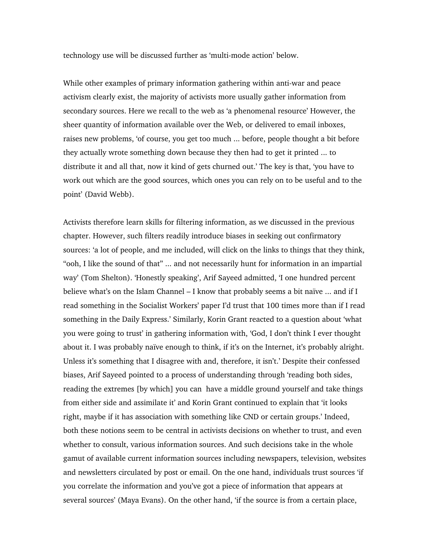technology use will be discussed further as 'multi-mode action' below.

While other examples of primary information gathering within anti-war and peace activism clearly exist, the majority of activists more usually gather information from secondary sources. Here we recall to the web as 'a phenomenal resource' However, the sheer quantity of information available over the Web, or delivered to email inboxes, raises new problems, 'of course, you get too much ... before, people thought a bit before they actually wrote something down because they then had to get it printed ... to distribute it and all that, now it kind of gets churned out.' The key is that, 'you have to work out which are the good sources, which ones you can rely on to be useful and to the point' (David Webb).

Activists therefore learn skills for filtering information, as we discussed in the previous chapter. However, such filters readily introduce biases in seeking out confirmatory sources: 'a lot of people, and me included, will click on the links to things that they think, "ooh, I like the sound of that" ... and not necessarily hunt for information in an impartial way' (Tom Shelton). 'Honestly speaking', Arif Sayeed admitted, 'I one hundred percent believe what's on the Islam Channel – I know that probably seems a bit naïve ... and if I read something in the Socialist Workers' paper I'd trust that 100 times more than if I read something in the Daily Express.' Similarly, Korin Grant reacted to a question about 'what you were going to trust' in gathering information with, 'God, I don't think I ever thought about it. I was probably naïve enough to think, if it's on the Internet, it's probably alright. Unless it's something that I disagree with and, therefore, it isn't.' Despite their confessed biases, Arif Sayeed pointed to a process of understanding through 'reading both sides, reading the extremes [by which] you can have a middle ground yourself and take things from either side and assimilate it' and Korin Grant continued to explain that 'it looks right, maybe if it has association with something like CND or certain groups.' Indeed, both these notions seem to be central in activists decisions on whether to trust, and even whether to consult, various information sources. And such decisions take in the whole gamut of available current information sources including newspapers, television, websites and newsletters circulated by post or email. On the one hand, individuals trust sources 'if you correlate the information and you've got a piece of information that appears at several sources' (Maya Evans). On the other hand, 'if the source is from a certain place,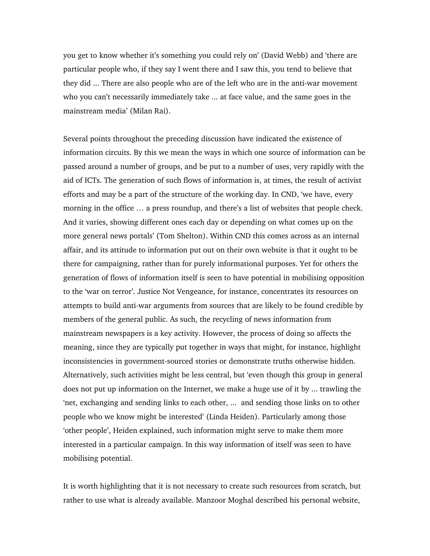you get to know whether it's something you could rely on' (David Webb) and 'there are particular people who, if they say I went there and I saw this, you tend to believe that they did ... There are also people who are of the left who are in the anti-war movement who you can't necessarily immediately take ... at face value, and the same goes in the mainstream media' (Milan Rai).

Several points throughout the preceding discussion have indicated the existence of information circuits. By this we mean the ways in which one source of information can be passed around a number of groups, and be put to a number of uses, very rapidly with the aid of ICTs. The generation of such flows of information is, at times, the result of activist efforts and may be a part of the structure of the working day. In CND, 'we have, every morning in the office … a press roundup, and there's a list of websites that people check. And it varies, showing different ones each day or depending on what comes up on the more general news portals' (Tom Shelton). Within CND this comes across as an internal affair, and its attitude to information put out on their own website is that it ought to be there for campaigning, rather than for purely informational purposes. Yet for others the generation of flows of information itself is seen to have potential in mobilising opposition to the 'war on terror'. Justice Not Vengeance, for instance, concentrates its resources on attempts to build anti-war arguments from sources that are likely to be found credible by members of the general public. As such, the recycling of news information from mainstream newspapers is a key activity. However, the process of doing so affects the meaning, since they are typically put together in ways that might, for instance, highlight inconsistencies in government-sourced stories or demonstrate truths otherwise hidden. Alternatively, such activities might be less central, but 'even though this group in general does not put up information on the Internet, we make a huge use of it by ... trawling the 'net, exchanging and sending links to each other, ... and sending those links on to other people who we know might be interested' (Linda Heiden). Particularly among those 'other people', Heiden explained, such information might serve to make them more interested in a particular campaign. In this way information of itself was seen to have mobilising potential.

It is worth highlighting that it is not necessary to create such resources from scratch, but rather to use what is already available. Manzoor Moghal described his personal website,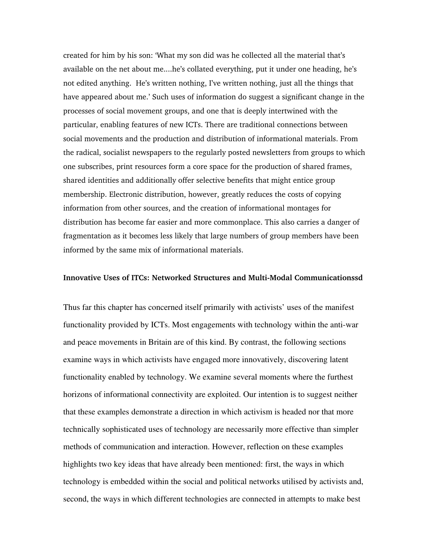created for him by his son: 'What my son did was he collected all the material that's available on the net about me....he's collated everything, put it under one heading, he's not edited anything. He's written nothing, I've written nothing, just all the things that have appeared about me.' Such uses of information do suggest a significant change in the processes of social movement groups, and one that is deeply intertwined with the particular, enabling features of new ICTs. There are traditional connections between social movements and the production and distribution of informational materials. From the radical, socialist newspapers to the regularly posted newsletters from groups to which one subscribes, print resources form a core space for the production of shared frames, shared identities and additionally offer selective benefits that might entice group membership. Electronic distribution, however, greatly reduces the costs of copying information from other sources, and the creation of informational montages for distribution has become far easier and more commonplace. This also carries a danger of fragmentation as it becomes less likely that large numbers of group members have been informed by the same mix of informational materials.

### **Innovative Uses of ITCs: Networked Structures and Multi-Modal Communicationssd**

Thus far this chapter has concerned itself primarily with activists' uses of the manifest functionality provided by ICTs. Most engagements with technology within the anti-war and peace movements in Britain are of this kind. By contrast, the following sections examine ways in which activists have engaged more innovatively, discovering latent functionality enabled by technology. We examine several moments where the furthest horizons of informational connectivity are exploited. Our intention is to suggest neither that these examples demonstrate a direction in which activism is headed nor that more technically sophisticated uses of technology are necessarily more effective than simpler methods of communication and interaction. However, reflection on these examples highlights two key ideas that have already been mentioned: first, the ways in which technology is embedded within the social and political networks utilised by activists and, second, the ways in which different technologies are connected in attempts to make best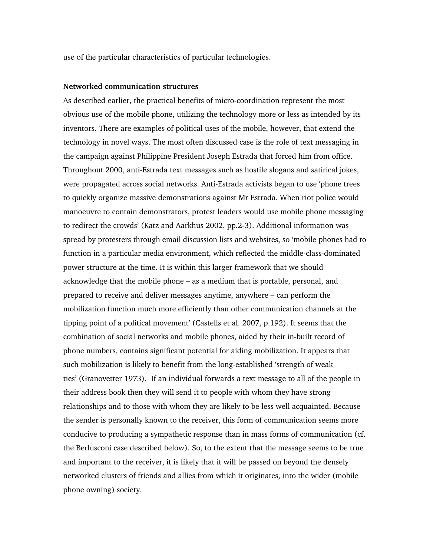use of the particular characteristics of particular technologies.

#### **Networked communication structures**

As described earlier, the practical benefits of micro-coordination represent the most obvious use of the mobile phone, utilizing the technology more or less as intended by its inventors. There are examples of political uses of the mobile, however, that extend the technology in novel ways. The most often discussed case is the role of text messaging in the campaign against Philippine President Joseph Estrada that forced him from office. Throughout 2000, anti-Estrada text messages such as hostile slogans and satirical jokes, were propagated across social networks. Anti-Estrada activists began to use 'phone trees to quickly organize massive demonstrations against Mr Estrada. When riot police would manoeuvre to contain demonstrators, protest leaders would use mobile phone messaging to redirect the crowds' (Katz and Aarkhus 2002, pp.23). Additional information was spread by protesters through email discussion lists and websites, so 'mobile phones had to function in a particular media environment, which reflected the middle-class-dominated power structure at the time. It is within this larger framework that we should acknowledge that the mobile phone – as a medium that is portable, personal, and prepared to receive and deliver messages anytime, anywhere – can perform the mobilization function much more efficiently than other communication channels at the tipping point of a political movement' (Castells et al. 2007, p.192). It seems that the combination of social networks and mobile phones, aided by their in-built record of phone numbers, contains significant potential for aiding mobilization. It appears that such mobilization is likely to benefit from the long-established 'strength of weak ties' (Granovetter 1973). If an individual forwards a text message to all of the people in their address book then they will send it to people with whom they have strong relationships and to those with whom they are likely to be less well acquainted. Because the sender is personally known to the receiver, this form of communication seems more conducive to producing a sympathetic response than in mass forms of communication (cf. the Berlusconi case described below). So, to the extent that the message seems to be true and important to the receiver, it is likely that it will be passed on beyond the densely networked clusters of friends and allies from which it originates, into the wider (mobile phone owning) society.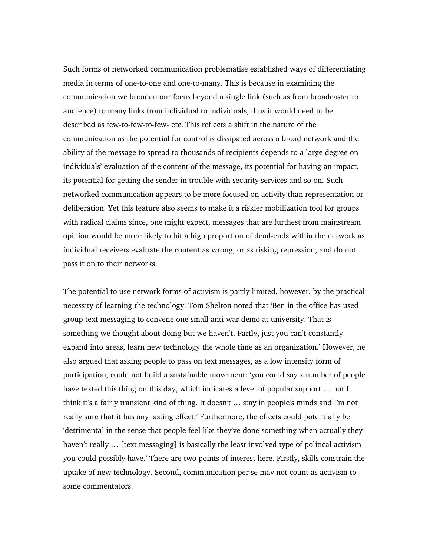Such forms of networked communication problematise established ways of differentiating media in terms of one-to-one and one-to-many. This is because in examining the communication we broaden our focus beyond a single link (such as from broadcaster to audience) to many links from individual to individuals, thus it would need to be described as few-to-few-to-few- etc. This reflects a shift in the nature of the communication as the potential for control is dissipated across a broad network and the ability of the message to spread to thousands of recipients depends to a large degree on individuals' evaluation of the content of the message, its potential for having an impact, its potential for getting the sender in trouble with security services and so on. Such networked communication appears to be more focused on activity than representation or deliberation. Yet this feature also seems to make it a riskier mobilization tool for groups with radical claims since, one might expect, messages that are furthest from mainstream opinion would be more likely to hit a high proportion of dead-ends within the network as individual receivers evaluate the content as wrong, or as risking repression, and do not pass it on to their networks.

The potential to use network forms of activism is partly limited, however, by the practical necessity of learning the technology. Tom Shelton noted that 'Ben in the office has used group text messaging to convene one small anti-war demo at university. That is something we thought about doing but we haven't. Partly, just you can't constantly expand into areas, learn new technology the whole time as an organization.' However, he also argued that asking people to pass on text messages, as a low intensity form of participation, could not build a sustainable movement: 'you could say x number of people have texted this thing on this day, which indicates a level of popular support … but I think it's a fairly transient kind of thing. It doesn't … stay in people's minds and I'm not really sure that it has any lasting effect.' Furthermore, the effects could potentially be 'detrimental in the sense that people feel like they've done something when actually they haven't really ... [text messaging] is basically the least involved type of political activism you could possibly have.' There are two points of interest here. Firstly, skills constrain the uptake of new technology. Second, communication per se may not count as activism to some commentators.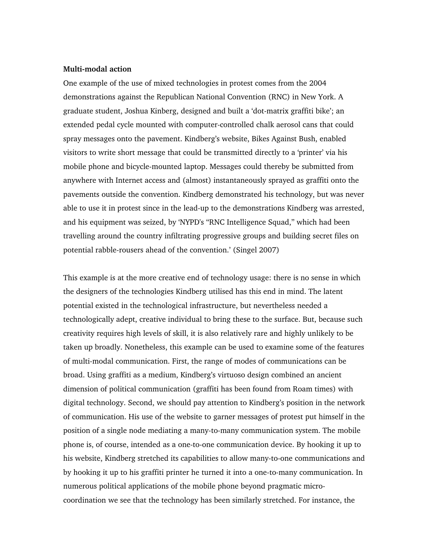### **Multi-modal action**

One example of the use of mixed technologies in protest comes from the 2004 demonstrations against the Republican National Convention (RNC) in New York. A graduate student, Joshua Kinberg, designed and built a 'dot-matrix graffiti bike'; an extended pedal cycle mounted with computer-controlled chalk aerosol cans that could spray messages onto the pavement. Kindberg's website, Bikes Against Bush, enabled visitors to write short message that could be transmitted directly to a 'printer' via his mobile phone and bicycle-mounted laptop. Messages could thereby be submitted from anywhere with Internet access and (almost) instantaneously sprayed as graffiti onto the pavements outside the convention. Kindberg demonstrated his technology, but was never able to use it in protest since in the lead-up to the demonstrations Kindberg was arrested, and his equipment was seized, by 'NYPD's "RNC Intelligence Squad," which had been travelling around the country infiltrating progressive groups and building secret files on potential rabble-rousers ahead of the convention.' (Singel 2007)

This example is at the more creative end of technology usage: there is no sense in which the designers of the technologies Kindberg utilised has this end in mind. The latent potential existed in the technological infrastructure, but nevertheless needed a technologically adept, creative individual to bring these to the surface. But, because such creativity requires high levels of skill, it is also relatively rare and highly unlikely to be taken up broadly. Nonetheless, this example can be used to examine some of the features of multi-modal communication. First, the range of modes of communications can be broad. Using graffiti as a medium, Kindberg's virtuoso design combined an ancient dimension of political communication (graffiti has been found from Roam times) with digital technology. Second, we should pay attention to Kindberg's position in the network of communication. His use of the website to garner messages of protest put himself in the position of a single node mediating a many-to-many communication system. The mobile phone is, of course, intended as a one-to-one communication device. By hooking it up to his website, Kindberg stretched its capabilities to allow many-to-one communications and by hooking it up to his graffiti printer he turned it into a one-to-many communication. In numerous political applications of the mobile phone beyond pragmatic microcoordination we see that the technology has been similarly stretched. For instance, the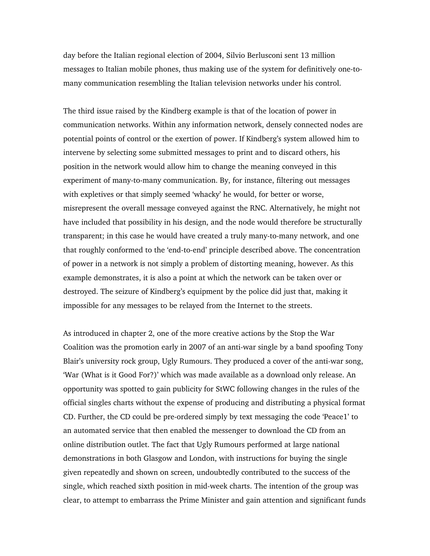day before the Italian regional election of 2004, Silvio Berlusconi sent 13 million messages to Italian mobile phones, thus making use of the system for definitively one-tomany communication resembling the Italian television networks under his control.

The third issue raised by the Kindberg example is that of the location of power in communication networks. Within any information network, densely connected nodes are potential points of control or the exertion of power. If Kindberg's system allowed him to intervene by selecting some submitted messages to print and to discard others, his position in the network would allow him to change the meaning conveyed in this experiment of many-to-many communication. By, for instance, filtering out messages with expletives or that simply seemed 'whacky' he would, for better or worse, misrepresent the overall message conveyed against the RNC. Alternatively, he might not have included that possibility in his design, and the node would therefore be structurally transparent; in this case he would have created a truly many-to-many network, and one that roughly conformed to the 'end-to-end' principle described above. The concentration of power in a network is not simply a problem of distorting meaning, however. As this example demonstrates, it is also a point at which the network can be taken over or destroyed. The seizure of Kindberg's equipment by the police did just that, making it impossible for any messages to be relayed from the Internet to the streets.

As introduced in chapter 2, one of the more creative actions by the Stop the War Coalition was the promotion early in 2007 of an anti-war single by a band spoofing Tony Blair's university rock group, Ugly Rumours. They produced a cover of the anti-war song, 'War (What is it Good For?)' which was made available as a download only release. An opportunity was spotted to gain publicity for StWC following changes in the rules of the official singles charts without the expense of producing and distributing a physical format CD. Further, the CD could be pre-ordered simply by text messaging the code 'Peace1' to an automated service that then enabled the messenger to download the CD from an online distribution outlet. The fact that Ugly Rumours performed at large national demonstrations in both Glasgow and London, with instructions for buying the single given repeatedly and shown on screen, undoubtedly contributed to the success of the single, which reached sixth position in mid-week charts. The intention of the group was clear, to attempt to embarrass the Prime Minister and gain attention and significant funds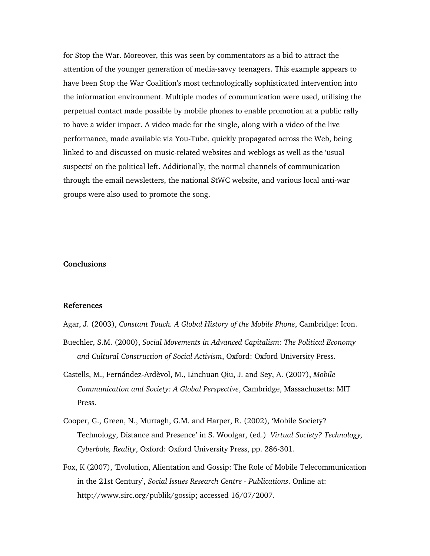for Stop the War. Moreover, this was seen by commentators as a bid to attract the attention of the younger generation of media-savvy teenagers. This example appears to have been Stop the War Coalition's most technologically sophisticated intervention into the information environment. Multiple modes of communication were used, utilising the perpetual contact made possible by mobile phones to enable promotion at a public rally to have a wider impact. A video made for the single, along with a video of the live performance, made available via You-Tube, quickly propagated across the Web, being linked to and discussed on music-related websites and weblogs as well as the 'usual suspects' on the political left. Additionally, the normal channels of communication through the email newsletters, the national StWC website, and various local anti-war groups were also used to promote the song.

### **Conclusions**

#### **References**

- Agar, J. (2003), *Constant Touch. A Global History of the Mobile Phone*, Cambridge: Icon.
- Buechler, S.M. (2000), *Social Movements in Advanced Capitalism: The Political Economy and Cultural Construction of Social Activism*, Oxford: Oxford University Press.
- Castells, M., Fernández-Ardèvol, M., Linchuan Qiu, J. and Sey, A. (2007), *Mobile Communication and Society: A Global Perspective*, Cambridge, Massachusetts: MIT Press.
- Cooper, G., Green, N., Murtagh, G.M. and Harper, R. (2002), 'Mobile Society? Technology, Distance and Presence' in S. Woolgar, (ed.) *Virtual Society? Technology, Cyberbole, Reality, Oxford: Oxford University Press, pp. 286-301.*
- Fox, K (2007), 'Evolution, Alientation and Gossip: The Role of Mobile Telecommunication in the 21st Century', *Social Issues Research Centre Publications*. Online at: http://www.sirc.org/publik/gossip; accessed 16/07/2007.